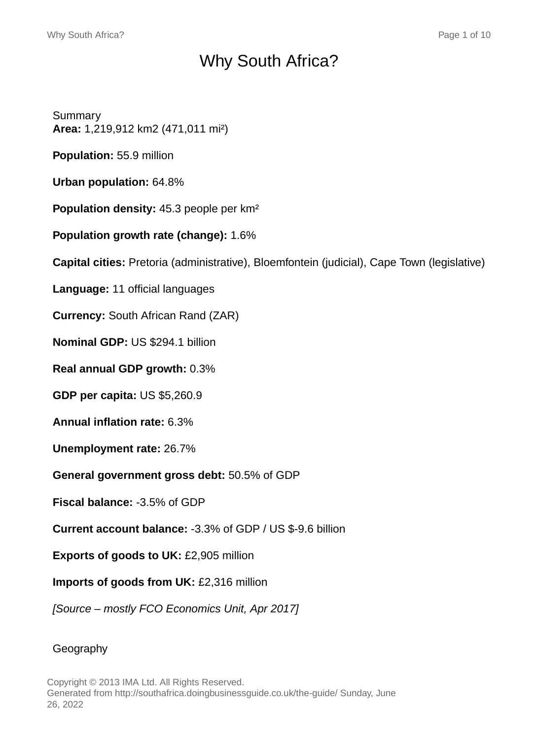# Why South Africa?

Summary **Area:** 1,219,912 km2 (471,011 mi²)

**Population:** 55.9 million

**Urban population:** 64.8%

**Population density:** 45.3 people per km²

**Population growth rate (change):** 1.6%

**Capital cities:** Pretoria (administrative), Bloemfontein (judicial), Cape Town (legislative)

**Language:** 11 official languages

**Currency:** South African Rand (ZAR)

**Nominal GDP:** US \$294.1 billion

**Real annual GDP growth:** 0.3%

**GDP per capita:** US \$5,260.9

**Annual inflation rate:** 6.3%

**Unemployment rate:** 26.7%

**General government gross debt:** 50.5% of GDP

**Fiscal balance:** -3.5% of GDP

**Current account balance:** -3.3% of GDP / US \$-9.6 billion

**Exports of goods to UK:** £2,905 million

**Imports of goods from UK:** £2,316 million

[Source – mostly FCO Economics Unit, Apr 2017]

#### Geography

Copyright © 2013 IMA Ltd. All Rights Reserved. Generated from http://southafrica.doingbusinessguide.co.uk/the-guide/ Sunday, June 26, 2022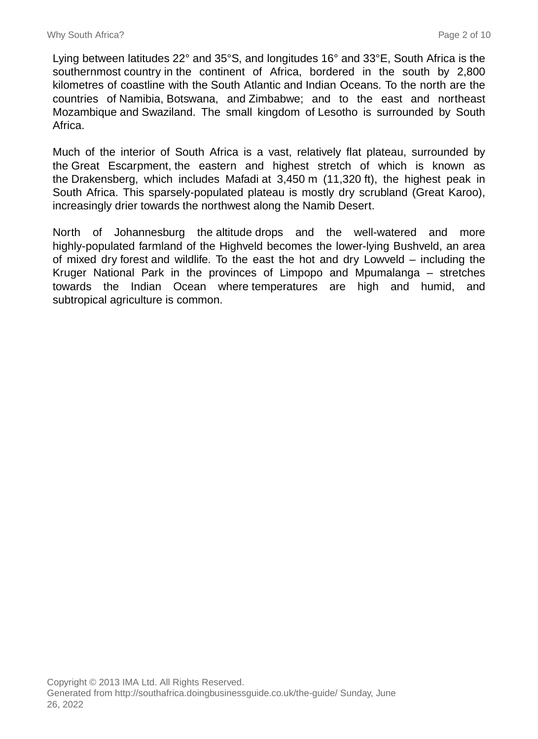Lying between latitudes 22° and 35°S, and longitudes 16° and 33°E, South Africa is the southernmost country in the continent of Africa, bordered in the south by 2,800 kilometres of coastline with the South Atlantic and Indian Oceans. To the north are the countries of Namibia, Botswana, and Zimbabwe; and to the east and northeast Mozambique and Swaziland. The small kingdom of Lesotho is surrounded by South Africa.

Much of the interior of South Africa is a vast, relatively flat plateau, surrounded by the Great Escarpment, the eastern and highest stretch of which is known as the Drakensberg, which includes Mafadi at 3,450 m (11,320 ft), the highest peak in South Africa. This sparsely-populated plateau is mostly dry scrubland (Great Karoo), increasingly drier towards the northwest along the Namib Desert.

North of Johannesburg the altitude drops and the well-watered and more highly-populated farmland of the Highveld becomes the lower-lying Bushveld, an area of mixed dry forest and wildlife. To the east the hot and dry Lowveld – including the Kruger National Park in the provinces of Limpopo and Mpumalanga – stretches towards the Indian Ocean where temperatures are high and humid, and subtropical agriculture is common.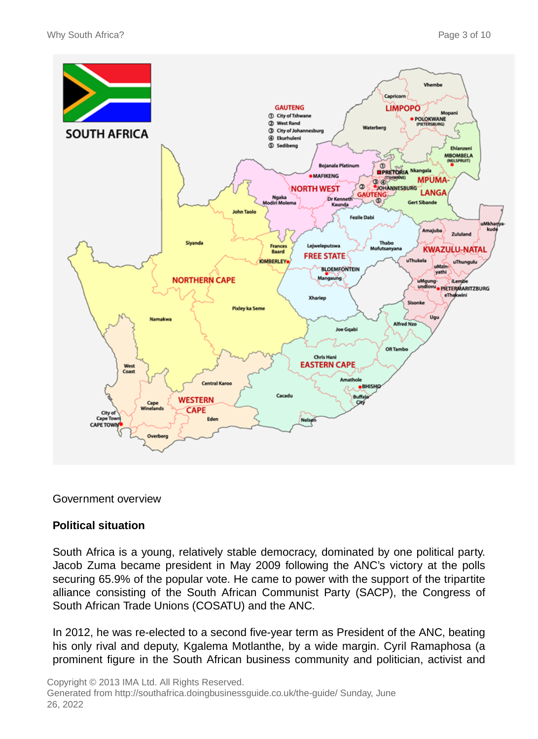

#### Government overview

#### **Political situation**

South Africa is a young, relatively stable democracy, dominated by one political party. Jacob Zuma became president in May 2009 following the ANC's victory at the polls securing 65.9% of the popular vote. He came to power with the support of the tripartite alliance consisting of the South African Communist Party (SACP), the Congress of South African Trade Unions (COSATU) and the ANC.

In 2012, he was re-elected to a second five-year term as President of the ANC, beating his only rival and deputy, Kgalema Motlanthe, by a wide margin. Cyril Ramaphosa (a prominent figure in the South African business community and politician, activist and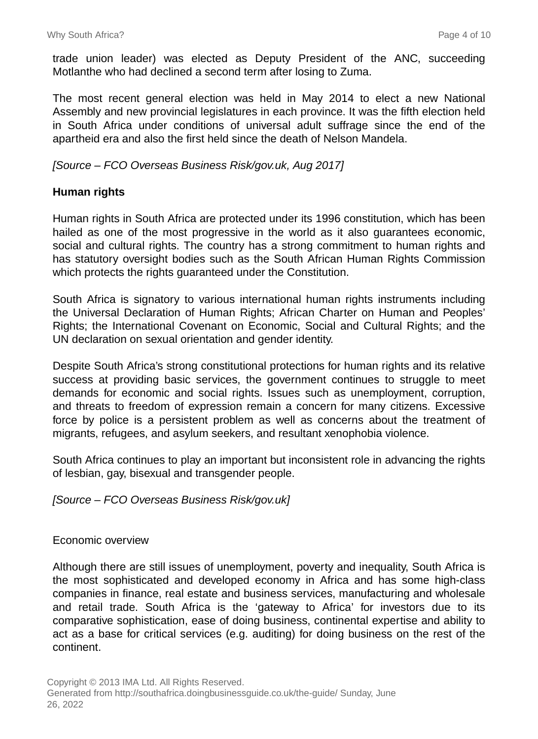trade union leader) was elected as Deputy President of the ANC, succeeding Motlanthe who had declined a second term after losing to Zuma.

The most recent general election was held in May 2014 to elect a new National Assembly and new provincial legislatures in each province. It was the fifth election held in South Africa under conditions of universal adult suffrage since the end of the apartheid era and also the first held since the death of Nelson Mandela.

#### [Source – FCO Overseas Business Risk/gov.uk, Aug 2017]

#### **Human rights**

Human rights in South Africa are protected under its 1996 constitution, which has been hailed as one of the most progressive in the world as it also guarantees economic, social and cultural rights. The country has a strong commitment to human rights and has statutory oversight bodies such as the South African Human Rights Commission which protects the rights guaranteed under the Constitution.

South Africa is signatory to various international human rights instruments including the Universal Declaration of Human Rights; African Charter on Human and Peoples' Rights; the International Covenant on Economic, Social and Cultural Rights; and the UN declaration on sexual orientation and gender identity.

Despite South Africa's strong constitutional protections for human rights and its relative success at providing basic services, the government continues to struggle to meet demands for economic and social rights. Issues such as unemployment, corruption, and threats to freedom of expression remain a concern for many citizens. Excessive force by police is a persistent problem as well as concerns about the treatment of migrants, refugees, and asylum seekers, and resultant xenophobia violence.

South Africa continues to play an important but inconsistent role in advancing the rights of lesbian, gay, bisexual and transgender people.

[Source – FCO Overseas Business Risk/gov.uk]

Economic overview

Although there are still issues of unemployment, poverty and inequality, South Africa is the most sophisticated and developed economy in Africa and has some high-class companies in finance, real estate and business services, manufacturing and wholesale and retail trade. South Africa is the 'gateway to Africa' for investors due to its comparative sophistication, ease of doing business, continental expertise and ability to act as a base for critical services (e.g. auditing) for doing business on the rest of the continent.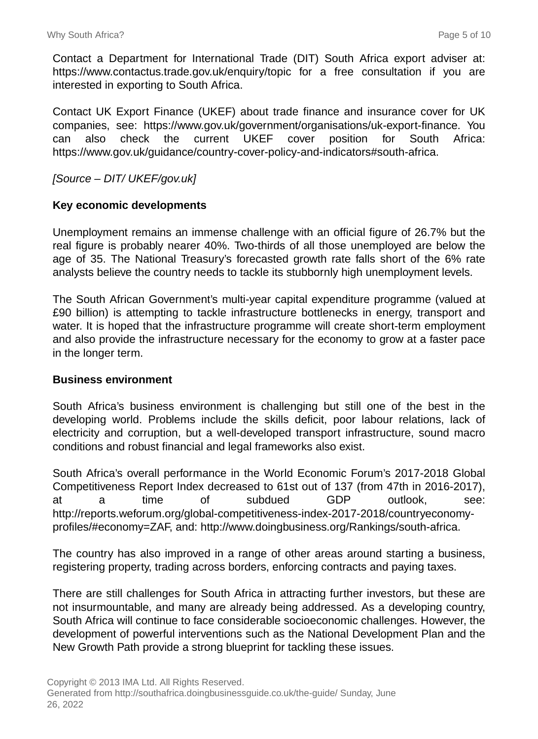Contact a Department for International Trade (DIT) South Africa export adviser at: https://www.contactus.trade.gov.uk/enquiry/topic for a free consultation if you are interested in exporting to South Africa.

Contact UK Export Finance (UKEF) about trade finance and insurance cover for UK companies, see: https://www.gov.uk/government/organisations/uk-export-finance. You can also check the current UKEF cover position for South Africa: https://www.gov.uk/guidance/country-cover-policy-and-indicators#south-africa.

### [Source – DIT/ UKEF/gov.uk]

#### **Key economic developments**

Unemployment remains an immense challenge with an official figure of 26.7% but the real figure is probably nearer 40%. Two-thirds of all those unemployed are below the age of 35. The National Treasury's forecasted growth rate falls short of the 6% rate analysts believe the country needs to tackle its stubbornly high unemployment levels.

The South African Government's multi-year capital expenditure programme (valued at £90 billion) is attempting to tackle infrastructure bottlenecks in energy, transport and water. It is hoped that the infrastructure programme will create short-term employment and also provide the infrastructure necessary for the economy to grow at a faster pace in the longer term.

#### **Business environment**

South Africa's business environment is challenging but still one of the best in the developing world. Problems include the skills deficit, poor labour relations, lack of electricity and corruption, but a well-developed transport infrastructure, sound macro conditions and robust financial and legal frameworks also exist.

South Africa's overall performance in the World Economic Forum's 2017-2018 Global Competitiveness Report Index decreased to 61st out of 137 (from 47th in 2016-2017), at a time of subdued GDP outlook, see: http://reports.weforum.org/global-competitiveness-index-2017-2018/countryeconomyprofiles/#economy=ZAF, and: http://www.doingbusiness.org/Rankings/south-africa.

The country has also improved in a range of other areas around starting a business, registering property, trading across borders, enforcing contracts and paying taxes.

There are still challenges for South Africa in attracting further investors, but these are not insurmountable, and many are already being addressed. As a developing country, South Africa will continue to face considerable socioeconomic challenges. However, the development of powerful interventions such as the National Development Plan and the New Growth Path provide a strong blueprint for tackling these issues.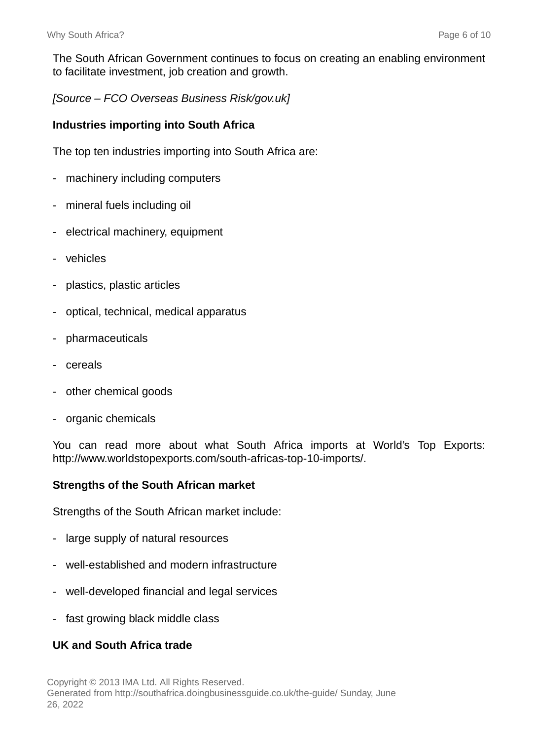The South African Government continues to focus on creating an enabling environment to facilitate investment, job creation and growth.

[Source – FCO Overseas Business Risk/gov.uk]

#### **Industries importing into South Africa**

The top ten industries importing into South Africa are:

- machinery including computers
- mineral fuels including oil
- electrical machinery, equipment
- vehicles
- plastics, plastic articles
- optical, technical, medical apparatus
- pharmaceuticals
- cereals
- other chemical goods
- organic chemicals

You can read more about what South Africa imports at World's Top Exports: http://www.worldstopexports.com/south-africas-top-10-imports/.

#### **Strengths of the South African market**

Strengths of the South African market include:

- large supply of natural resources
- well-established and modern infrastructure
- well-developed financial and legal services
- fast growing black middle class

# **UK and South Africa trade**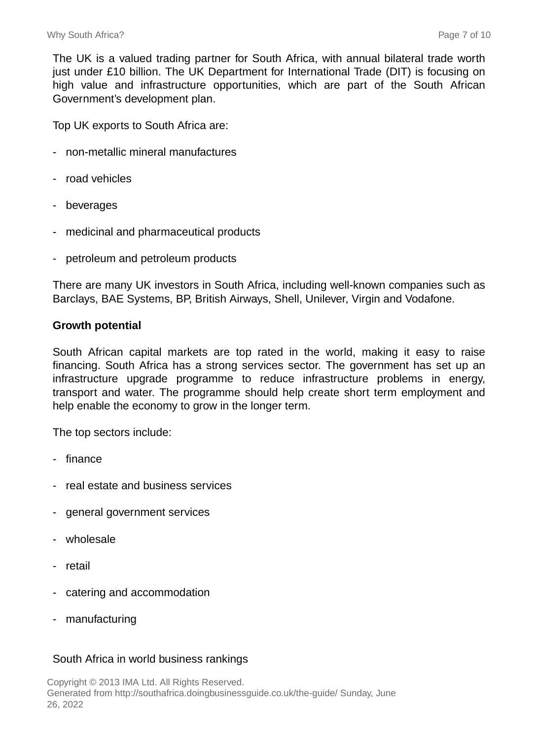The UK is a valued trading partner for South Africa, with annual bilateral trade worth just under £10 billion. The UK Department for International Trade (DIT) is focusing on high value and infrastructure opportunities, which are part of the South African Government's development plan.

Top UK exports to South Africa are:

- non-metallic mineral manufactures
- road vehicles
- beverages
- medicinal and pharmaceutical products
- petroleum and petroleum products

There are many UK investors in South Africa, including well-known companies such as Barclays, BAE Systems, BP, British Airways, Shell, Unilever, Virgin and Vodafone.

#### **Growth potential**

South African capital markets are top rated in the world, making it easy to raise financing. South Africa has a strong services sector. The government has set up an infrastructure upgrade programme to reduce infrastructure problems in energy, transport and water. The programme should help create short term employment and help enable the economy to grow in the longer term.

The top sectors include:

- finance
- real estate and business services
- general government services
- wholesale
- retail
- catering and accommodation
- manufacturing

#### South Africa in world business rankings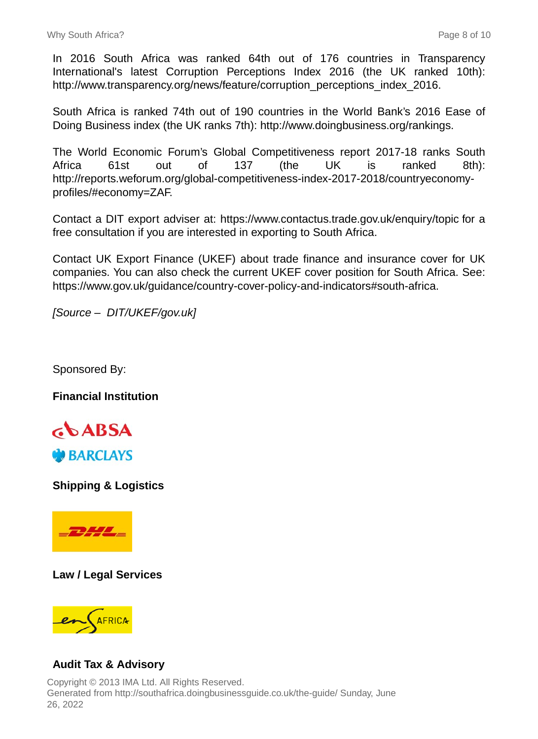In 2016 South Africa was ranked 64th out of 176 countries in Transparency International's latest Corruption Perceptions Index 2016 (the UK ranked 10th): http://www.transparency.org/news/feature/corruption\_perceptions\_index\_2016.

South Africa is ranked 74th out of 190 countries in the World Bank's 2016 Ease of Doing Business index (the UK ranks 7th): http://www.doingbusiness.org/rankings.

The World Economic Forum's Global Competitiveness report 2017-18 ranks South Africa 61st out of 137 (the UK is ranked 8th): http://reports.weforum.org/global-competitiveness-index-2017-2018/countryeconomyprofiles/#economy=ZAF.

Contact a DIT export adviser at: https://www.contactus.trade.gov.uk/enquiry/topic for a free consultation if you are interested in exporting to South Africa.

Contact UK Export Finance (UKEF) about trade finance and insurance cover for UK companies. You can also check the current UKEF cover position for South Africa. See: https://www.gov.uk/guidance/country-cover-policy-and-indicators#south-africa.

[Source – DIT/UKEF/gov.uk]

Sponsored By:

**Financial Institution**



**Shipping & Logistics**



**Law / Legal Services**



# **Audit Tax & Advisory**

Copyright © 2013 IMA Ltd. All Rights Reserved. Generated from http://southafrica.doingbusinessguide.co.uk/the-guide/ Sunday, June 26, 2022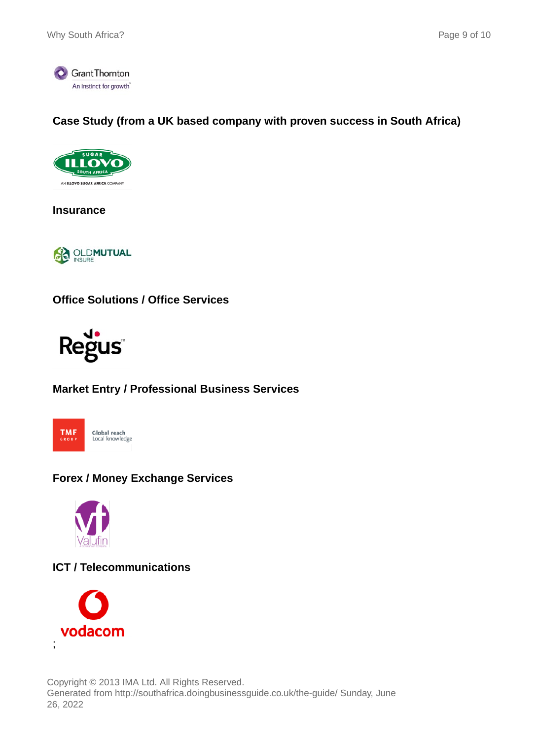

# **Case Study (from a UK based company with proven success in South Africa)**



**Insurance**



**Office Solutions / Office Services**



# **Market Entry / Professional Business Services**



# **Forex / Money Exchange Services**



# **ICT / Telecommunications**



Copyright © 2013 IMA Ltd. All Rights Reserved. Generated from http://southafrica.doingbusinessguide.co.uk/the-guide/ Sunday, June 26, 2022